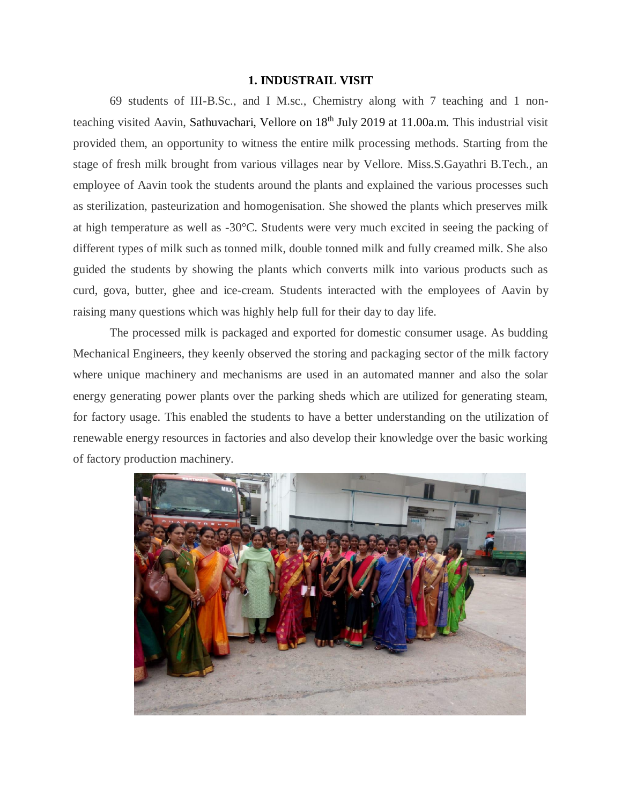## **1. INDUSTRAIL VISIT**

69 students of III-B.Sc., and I M.sc., Chemistry along with 7 teaching and 1 nonteaching visited Aavin, Sathuvachari, Vellore on 18<sup>th</sup> July 2019 at 11.00a.m. This industrial visit provided them, an opportunity to witness the entire milk processing methods. Starting from the stage of fresh milk brought from various villages near by Vellore. Miss.S.Gayathri B.Tech., an employee of Aavin took the students around the plants and explained the various processes such as sterilization, pasteurization and homogenisation. She showed the plants which preserves milk at high temperature as well as -30°C. Students were very much excited in seeing the packing of different types of milk such as tonned milk, double tonned milk and fully creamed milk. She also guided the students by showing the plants which converts milk into various products such as curd, gova, butter, ghee and ice-cream. Students interacted with the employees of Aavin by raising many questions which was highly help full for their day to day life.

The processed milk is packaged and exported for domestic consumer usage. As budding Mechanical Engineers, they keenly observed the storing and packaging sector of the milk factory where unique machinery and mechanisms are used in an automated manner and also the solar energy generating power plants over the parking sheds which are utilized for generating steam, for factory usage. This enabled the students to have a better understanding on the utilization of renewable energy resources in factories and also develop their knowledge over the basic working of factory production machinery.